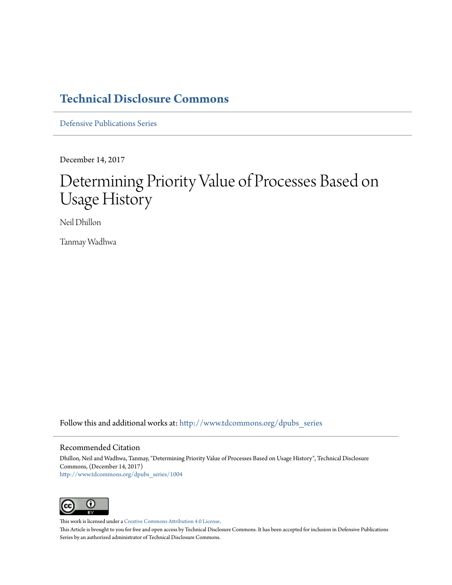### **[Technical Disclosure Commons](http://www.tdcommons.org?utm_source=www.tdcommons.org%2Fdpubs_series%2F1004&utm_medium=PDF&utm_campaign=PDFCoverPages)**

[Defensive Publications Series](http://www.tdcommons.org/dpubs_series?utm_source=www.tdcommons.org%2Fdpubs_series%2F1004&utm_medium=PDF&utm_campaign=PDFCoverPages)

December 14, 2017

## Determining Priority Value of Processes Based on Usage History

Neil Dhillon

Tanmay Wadhwa

Follow this and additional works at: [http://www.tdcommons.org/dpubs\\_series](http://www.tdcommons.org/dpubs_series?utm_source=www.tdcommons.org%2Fdpubs_series%2F1004&utm_medium=PDF&utm_campaign=PDFCoverPages)

#### Recommended Citation

Dhillon, Neil and Wadhwa, Tanmay, "Determining Priority Value of Processes Based on Usage History", Technical Disclosure Commons, (December 14, 2017) [http://www.tdcommons.org/dpubs\\_series/1004](http://www.tdcommons.org/dpubs_series/1004?utm_source=www.tdcommons.org%2Fdpubs_series%2F1004&utm_medium=PDF&utm_campaign=PDFCoverPages)



This work is licensed under a [Creative Commons Attribution 4.0 License.](http://creativecommons.org/licenses/by/4.0/deed.en_US)

This Article is brought to you for free and open access by Technical Disclosure Commons. It has been accepted for inclusion in Defensive Publications Series by an authorized administrator of Technical Disclosure Commons.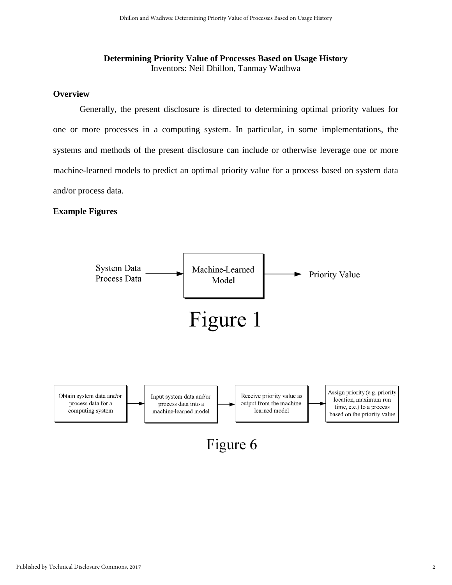#### **Determining Priority Value of Processes Based on Usage History**  Inventors: Neil Dhillon, Tanmay Wadhwa

#### **Overview**

Generally, the present disclosure is directed to determining optimal priority values for one or more processes in a computing system. In particular, in some implementations, the systems and methods of the present disclosure can include or otherwise leverage one or more machine-learned models to predict an optimal priority value for a process based on system data and/or process data.

#### **Example Figures**

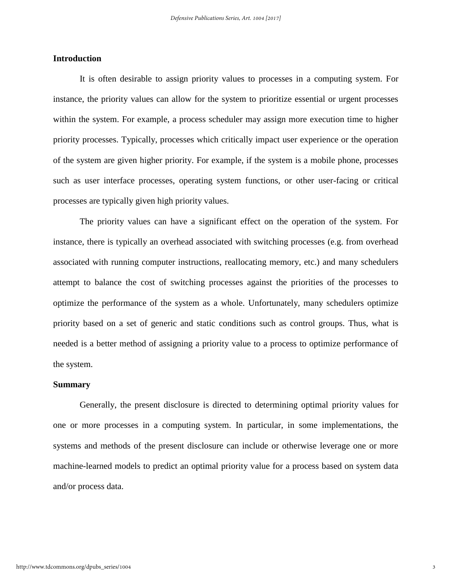#### **Introduction**

It is often desirable to assign priority values to processes in a computing system. For instance, the priority values can allow for the system to prioritize essential or urgent processes within the system. For example, a process scheduler may assign more execution time to higher priority processes. Typically, processes which critically impact user experience or the operation of the system are given higher priority. For example, if the system is a mobile phone, processes such as user interface processes, operating system functions, or other user-facing or critical processes are typically given high priority values.

The priority values can have a significant effect on the operation of the system. For instance, there is typically an overhead associated with switching processes (e.g. from overhead associated with running computer instructions, reallocating memory, etc.) and many schedulers attempt to balance the cost of switching processes against the priorities of the processes to optimize the performance of the system as a whole. Unfortunately, many schedulers optimize priority based on a set of generic and static conditions such as control groups. Thus, what is needed is a better method of assigning a priority value to a process to optimize performance of the system.

#### **Summary**

Generally, the present disclosure is directed to determining optimal priority values for one or more processes in a computing system. In particular, in some implementations, the systems and methods of the present disclosure can include or otherwise leverage one or more machine-learned models to predict an optimal priority value for a process based on system data and/or process data.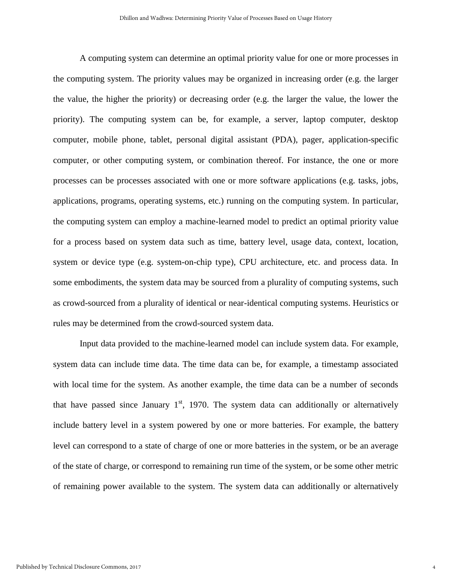A computing system can determine an optimal priority value for one or more processes in the computing system. The priority values may be organized in increasing order (e.g. the larger the value, the higher the priority) or decreasing order (e.g. the larger the value, the lower the priority). The computing system can be, for example, a server, laptop computer, desktop computer, mobile phone, tablet, personal digital assistant (PDA), pager, application-specific computer, or other computing system, or combination thereof. For instance, the one or more processes can be processes associated with one or more software applications (e.g. tasks, jobs, applications, programs, operating systems, etc.) running on the computing system. In particular, the computing system can employ a machine-learned model to predict an optimal priority value for a process based on system data such as time, battery level, usage data, context, location, system or device type (e.g. system-on-chip type), CPU architecture, etc. and process data. In some embodiments, the system data may be sourced from a plurality of computing systems, such as crowd-sourced from a plurality of identical or near-identical computing systems. Heuristics or rules may be determined from the crowd-sourced system data.

Input data provided to the machine-learned model can include system data. For example, system data can include time data. The time data can be, for example, a timestamp associated with local time for the system. As another example, the time data can be a number of seconds that have passed since January  $1<sup>st</sup>$ , 1970. The system data can additionally or alternatively include battery level in a system powered by one or more batteries. For example, the battery level can correspond to a state of charge of one or more batteries in the system, or be an average of the state of charge, or correspond to remaining run time of the system, or be some other metric of remaining power available to the system. The system data can additionally or alternatively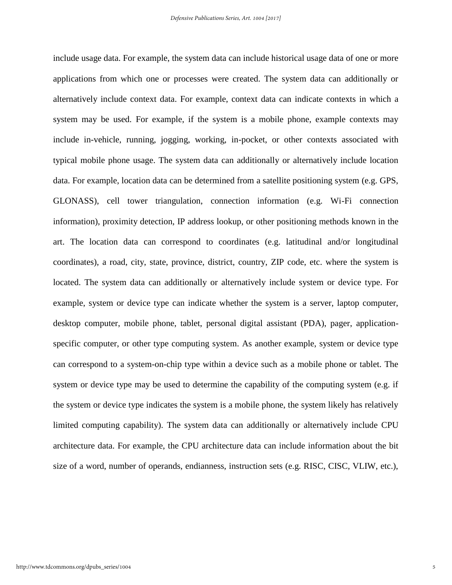include usage data. For example, the system data can include historical usage data of one or more applications from which one or processes were created. The system data can additionally or alternatively include context data. For example, context data can indicate contexts in which a system may be used. For example, if the system is a mobile phone, example contexts may include in-vehicle, running, jogging, working, in-pocket, or other contexts associated with typical mobile phone usage. The system data can additionally or alternatively include location data. For example, location data can be determined from a satellite positioning system (e.g. GPS, GLONASS), cell tower triangulation, connection information (e.g. Wi-Fi connection information), proximity detection, IP address lookup, or other positioning methods known in the art. The location data can correspond to coordinates (e.g. latitudinal and/or longitudinal coordinates), a road, city, state, province, district, country, ZIP code, etc. where the system is located. The system data can additionally or alternatively include system or device type. For example, system or device type can indicate whether the system is a server, laptop computer, desktop computer, mobile phone, tablet, personal digital assistant (PDA), pager, applicationspecific computer, or other type computing system. As another example, system or device type can correspond to a system-on-chip type within a device such as a mobile phone or tablet. The system or device type may be used to determine the capability of the computing system (e.g. if the system or device type indicates the system is a mobile phone, the system likely has relatively limited computing capability). The system data can additionally or alternatively include CPU architecture data. For example, the CPU architecture data can include information about the bit size of a word, number of operands, endianness, instruction sets (e.g. RISC, CISC, VLIW, etc.),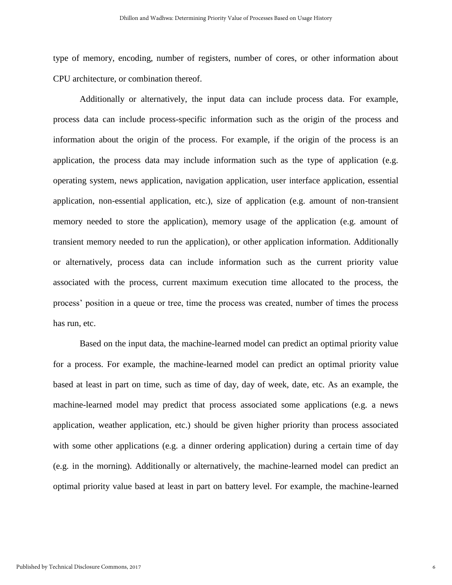type of memory, encoding, number of registers, number of cores, or other information about CPU architecture, or combination thereof.

Additionally or alternatively, the input data can include process data. For example, process data can include process-specific information such as the origin of the process and information about the origin of the process. For example, if the origin of the process is an application, the process data may include information such as the type of application (e.g. operating system, news application, navigation application, user interface application, essential application, non-essential application, etc.), size of application (e.g. amount of non-transient memory needed to store the application), memory usage of the application (e.g. amount of transient memory needed to run the application), or other application information. Additionally or alternatively, process data can include information such as the current priority value associated with the process, current maximum execution time allocated to the process, the process' position in a queue or tree, time the process was created, number of times the process has run, etc.

Based on the input data, the machine-learned model can predict an optimal priority value for a process. For example, the machine-learned model can predict an optimal priority value based at least in part on time, such as time of day, day of week, date, etc. As an example, the machine-learned model may predict that process associated some applications (e.g. a news application, weather application, etc.) should be given higher priority than process associated with some other applications (e.g. a dinner ordering application) during a certain time of day (e.g. in the morning). Additionally or alternatively, the machine-learned model can predict an optimal priority value based at least in part on battery level. For example, the machine-learned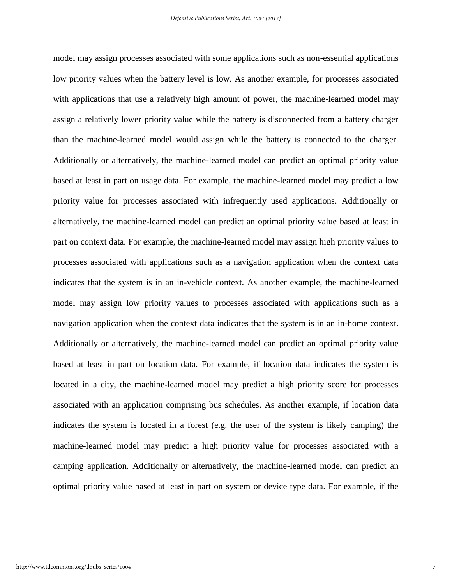model may assign processes associated with some applications such as non-essential applications low priority values when the battery level is low. As another example, for processes associated with applications that use a relatively high amount of power, the machine-learned model may assign a relatively lower priority value while the battery is disconnected from a battery charger than the machine-learned model would assign while the battery is connected to the charger. Additionally or alternatively, the machine-learned model can predict an optimal priority value based at least in part on usage data. For example, the machine-learned model may predict a low priority value for processes associated with infrequently used applications. Additionally or alternatively, the machine-learned model can predict an optimal priority value based at least in part on context data. For example, the machine-learned model may assign high priority values to processes associated with applications such as a navigation application when the context data indicates that the system is in an in-vehicle context. As another example, the machine-learned model may assign low priority values to processes associated with applications such as a navigation application when the context data indicates that the system is in an in-home context. Additionally or alternatively, the machine-learned model can predict an optimal priority value based at least in part on location data. For example, if location data indicates the system is located in a city, the machine-learned model may predict a high priority score for processes associated with an application comprising bus schedules. As another example, if location data indicates the system is located in a forest (e.g. the user of the system is likely camping) the machine-learned model may predict a high priority value for processes associated with a camping application. Additionally or alternatively, the machine-learned model can predict an optimal priority value based at least in part on system or device type data. For example, if the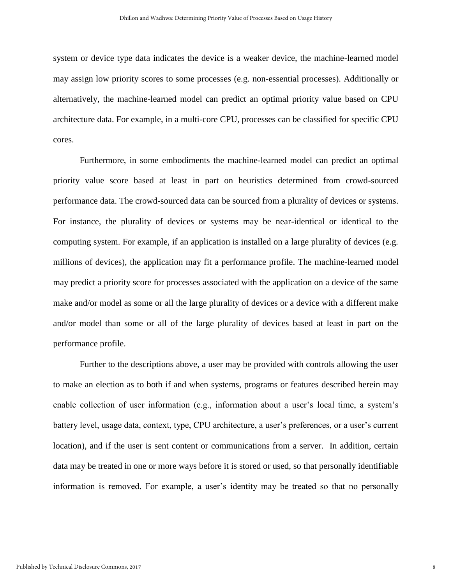system or device type data indicates the device is a weaker device, the machine-learned model may assign low priority scores to some processes (e.g. non-essential processes). Additionally or alternatively, the machine-learned model can predict an optimal priority value based on CPU architecture data. For example, in a multi-core CPU, processes can be classified for specific CPU cores.

Furthermore, in some embodiments the machine-learned model can predict an optimal priority value score based at least in part on heuristics determined from crowd-sourced performance data. The crowd-sourced data can be sourced from a plurality of devices or systems. For instance, the plurality of devices or systems may be near-identical or identical to the computing system. For example, if an application is installed on a large plurality of devices (e.g. millions of devices), the application may fit a performance profile. The machine-learned model may predict a priority score for processes associated with the application on a device of the same make and/or model as some or all the large plurality of devices or a device with a different make and/or model than some or all of the large plurality of devices based at least in part on the performance profile.

Further to the descriptions above, a user may be provided with controls allowing the user to make an election as to both if and when systems, programs or features described herein may enable collection of user information (e.g., information about a user's local time, a system's battery level, usage data, context, type, CPU architecture, a user's preferences, or a user's current location), and if the user is sent content or communications from a server. In addition, certain data may be treated in one or more ways before it is stored or used, so that personally identifiable information is removed. For example, a user's identity may be treated so that no personally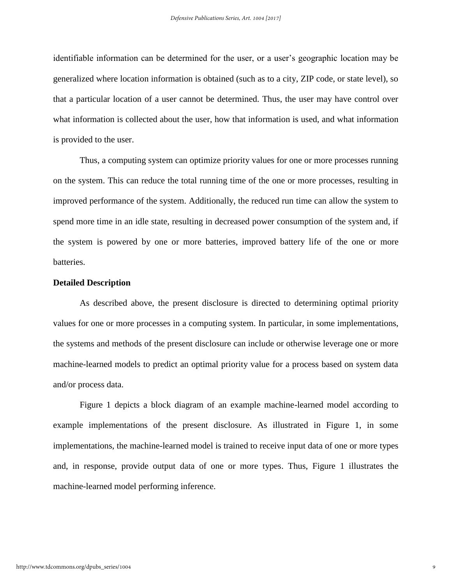identifiable information can be determined for the user, or a user's geographic location may be generalized where location information is obtained (such as to a city, ZIP code, or state level), so that a particular location of a user cannot be determined. Thus, the user may have control over what information is collected about the user, how that information is used, and what information is provided to the user.

Thus, a computing system can optimize priority values for one or more processes running on the system. This can reduce the total running time of the one or more processes, resulting in improved performance of the system. Additionally, the reduced run time can allow the system to spend more time in an idle state, resulting in decreased power consumption of the system and, if the system is powered by one or more batteries, improved battery life of the one or more batteries.

#### **Detailed Description**

As described above, the present disclosure is directed to determining optimal priority values for one or more processes in a computing system. In particular, in some implementations, the systems and methods of the present disclosure can include or otherwise leverage one or more machine-learned models to predict an optimal priority value for a process based on system data and/or process data.

Figure 1 depicts a block diagram of an example machine-learned model according to example implementations of the present disclosure. As illustrated in Figure 1, in some implementations, the machine-learned model is trained to receive input data of one or more types and, in response, provide output data of one or more types. Thus, Figure 1 illustrates the machine-learned model performing inference.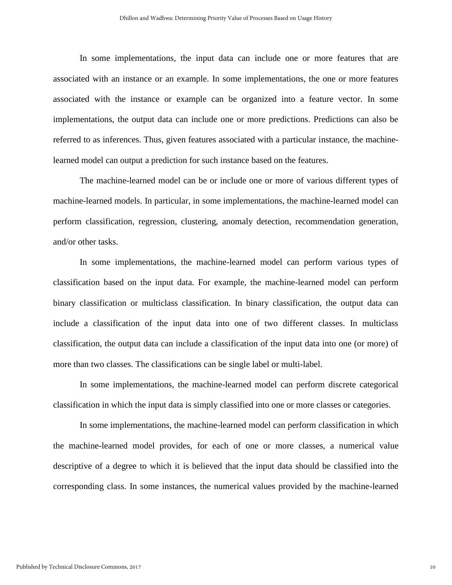In some implementations, the input data can include one or more features that are associated with an instance or an example. In some implementations, the one or more features associated with the instance or example can be organized into a feature vector. In some implementations, the output data can include one or more predictions. Predictions can also be referred to as inferences. Thus, given features associated with a particular instance, the machinelearned model can output a prediction for such instance based on the features.

The machine-learned model can be or include one or more of various different types of machine-learned models. In particular, in some implementations, the machine-learned model can perform classification, regression, clustering, anomaly detection, recommendation generation, and/or other tasks.

In some implementations, the machine-learned model can perform various types of classification based on the input data. For example, the machine-learned model can perform binary classification or multiclass classification. In binary classification, the output data can include a classification of the input data into one of two different classes. In multiclass classification, the output data can include a classification of the input data into one (or more) of more than two classes. The classifications can be single label or multi-label.

In some implementations, the machine-learned model can perform discrete categorical classification in which the input data is simply classified into one or more classes or categories.

In some implementations, the machine-learned model can perform classification in which the machine-learned model provides, for each of one or more classes, a numerical value descriptive of a degree to which it is believed that the input data should be classified into the corresponding class. In some instances, the numerical values provided by the machine-learned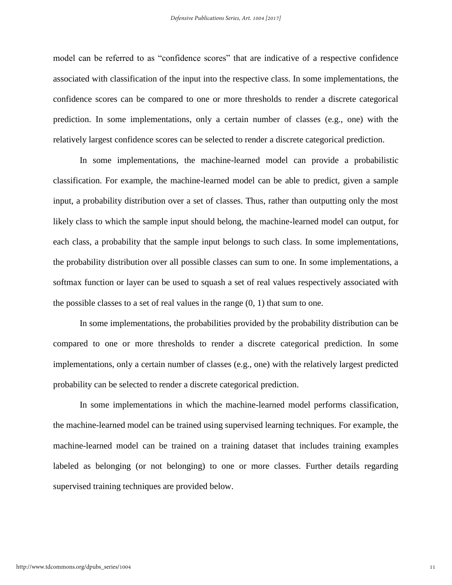model can be referred to as "confidence scores" that are indicative of a respective confidence associated with classification of the input into the respective class. In some implementations, the confidence scores can be compared to one or more thresholds to render a discrete categorical prediction. In some implementations, only a certain number of classes (e.g., one) with the relatively largest confidence scores can be selected to render a discrete categorical prediction.

In some implementations, the machine-learned model can provide a probabilistic classification. For example, the machine-learned model can be able to predict, given a sample input, a probability distribution over a set of classes. Thus, rather than outputting only the most likely class to which the sample input should belong, the machine-learned model can output, for each class, a probability that the sample input belongs to such class. In some implementations, the probability distribution over all possible classes can sum to one. In some implementations, a softmax function or layer can be used to squash a set of real values respectively associated with the possible classes to a set of real values in the range  $(0, 1)$  that sum to one.

In some implementations, the probabilities provided by the probability distribution can be compared to one or more thresholds to render a discrete categorical prediction. In some implementations, only a certain number of classes (e.g., one) with the relatively largest predicted probability can be selected to render a discrete categorical prediction.

In some implementations in which the machine-learned model performs classification, the machine-learned model can be trained using supervised learning techniques. For example, the machine-learned model can be trained on a training dataset that includes training examples labeled as belonging (or not belonging) to one or more classes. Further details regarding supervised training techniques are provided below.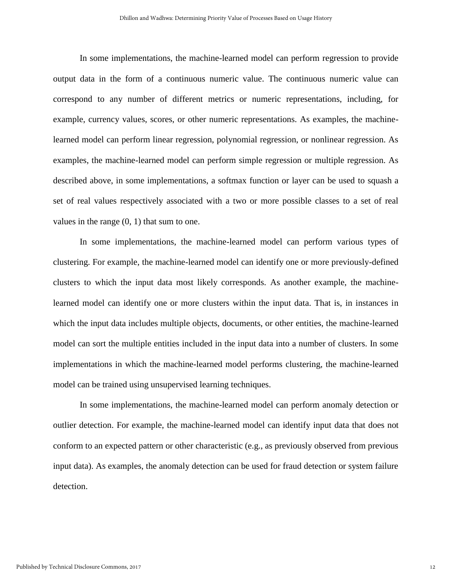In some implementations, the machine-learned model can perform regression to provide output data in the form of a continuous numeric value. The continuous numeric value can correspond to any number of different metrics or numeric representations, including, for example, currency values, scores, or other numeric representations. As examples, the machinelearned model can perform linear regression, polynomial regression, or nonlinear regression. As examples, the machine-learned model can perform simple regression or multiple regression. As described above, in some implementations, a softmax function or layer can be used to squash a set of real values respectively associated with a two or more possible classes to a set of real values in the range (0, 1) that sum to one.

In some implementations, the machine-learned model can perform various types of clustering. For example, the machine-learned model can identify one or more previously-defined clusters to which the input data most likely corresponds. As another example, the machinelearned model can identify one or more clusters within the input data. That is, in instances in which the input data includes multiple objects, documents, or other entities, the machine-learned model can sort the multiple entities included in the input data into a number of clusters. In some implementations in which the machine-learned model performs clustering, the machine-learned model can be trained using unsupervised learning techniques.

In some implementations, the machine-learned model can perform anomaly detection or outlier detection. For example, the machine-learned model can identify input data that does not conform to an expected pattern or other characteristic (e.g., as previously observed from previous input data). As examples, the anomaly detection can be used for fraud detection or system failure detection.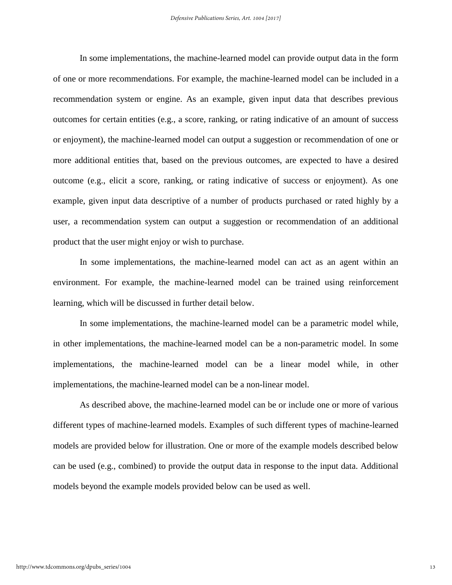In some implementations, the machine-learned model can provide output data in the form of one or more recommendations. For example, the machine-learned model can be included in a recommendation system or engine. As an example, given input data that describes previous outcomes for certain entities (e.g., a score, ranking, or rating indicative of an amount of success or enjoyment), the machine-learned model can output a suggestion or recommendation of one or more additional entities that, based on the previous outcomes, are expected to have a desired outcome (e.g., elicit a score, ranking, or rating indicative of success or enjoyment). As one example, given input data descriptive of a number of products purchased or rated highly by a user, a recommendation system can output a suggestion or recommendation of an additional product that the user might enjoy or wish to purchase.

In some implementations, the machine-learned model can act as an agent within an environment. For example, the machine-learned model can be trained using reinforcement learning, which will be discussed in further detail below.

In some implementations, the machine-learned model can be a parametric model while, in other implementations, the machine-learned model can be a non-parametric model. In some implementations, the machine-learned model can be a linear model while, in other implementations, the machine-learned model can be a non-linear model.

As described above, the machine-learned model can be or include one or more of various different types of machine-learned models. Examples of such different types of machine-learned models are provided below for illustration. One or more of the example models described below can be used (e.g., combined) to provide the output data in response to the input data. Additional models beyond the example models provided below can be used as well.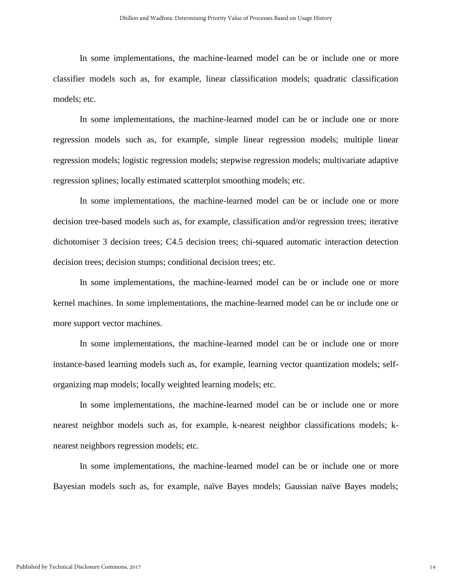In some implementations, the machine-learned model can be or include one or more classifier models such as, for example, linear classification models; quadratic classification models; etc.

In some implementations, the machine-learned model can be or include one or more regression models such as, for example, simple linear regression models; multiple linear regression models; logistic regression models; stepwise regression models; multivariate adaptive regression splines; locally estimated scatterplot smoothing models; etc.

In some implementations, the machine-learned model can be or include one or more decision tree-based models such as, for example, classification and/or regression trees; iterative dichotomiser 3 decision trees; C4.5 decision trees; chi-squared automatic interaction detection decision trees; decision stumps; conditional decision trees; etc.

In some implementations, the machine-learned model can be or include one or more kernel machines. In some implementations, the machine-learned model can be or include one or more support vector machines.

In some implementations, the machine-learned model can be or include one or more instance-based learning models such as, for example, learning vector quantization models; selforganizing map models; locally weighted learning models; etc.

In some implementations, the machine-learned model can be or include one or more nearest neighbor models such as, for example, k-nearest neighbor classifications models; knearest neighbors regression models; etc.

In some implementations, the machine-learned model can be or include one or more Bayesian models such as, for example, naïve Bayes models; Gaussian naïve Bayes models;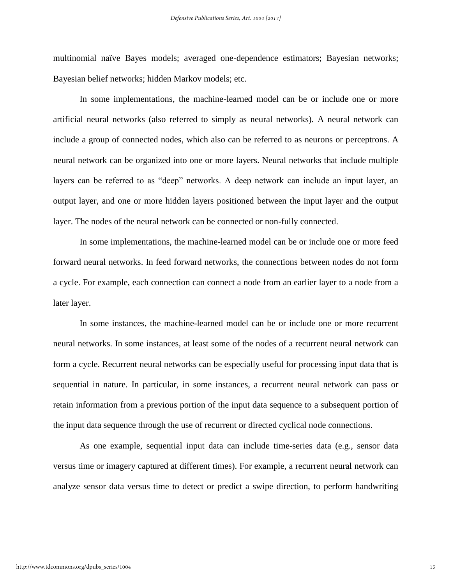multinomial naïve Bayes models; averaged one-dependence estimators; Bayesian networks; Bayesian belief networks; hidden Markov models; etc.

In some implementations, the machine-learned model can be or include one or more artificial neural networks (also referred to simply as neural networks). A neural network can include a group of connected nodes, which also can be referred to as neurons or perceptrons. A neural network can be organized into one or more layers. Neural networks that include multiple layers can be referred to as "deep" networks. A deep network can include an input layer, an output layer, and one or more hidden layers positioned between the input layer and the output layer. The nodes of the neural network can be connected or non-fully connected.

In some implementations, the machine-learned model can be or include one or more feed forward neural networks. In feed forward networks, the connections between nodes do not form a cycle. For example, each connection can connect a node from an earlier layer to a node from a later layer.

In some instances, the machine-learned model can be or include one or more recurrent neural networks. In some instances, at least some of the nodes of a recurrent neural network can form a cycle. Recurrent neural networks can be especially useful for processing input data that is sequential in nature. In particular, in some instances, a recurrent neural network can pass or retain information from a previous portion of the input data sequence to a subsequent portion of the input data sequence through the use of recurrent or directed cyclical node connections.

As one example, sequential input data can include time-series data (e.g., sensor data versus time or imagery captured at different times). For example, a recurrent neural network can analyze sensor data versus time to detect or predict a swipe direction, to perform handwriting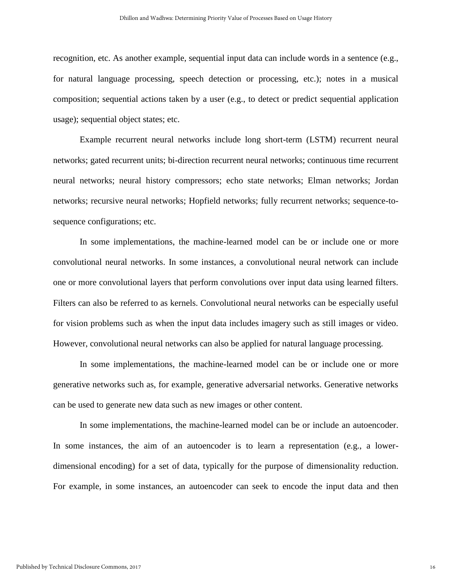recognition, etc. As another example, sequential input data can include words in a sentence (e.g., for natural language processing, speech detection or processing, etc.); notes in a musical composition; sequential actions taken by a user (e.g., to detect or predict sequential application usage); sequential object states; etc.

Example recurrent neural networks include long short-term (LSTM) recurrent neural networks; gated recurrent units; bi-direction recurrent neural networks; continuous time recurrent neural networks; neural history compressors; echo state networks; Elman networks; Jordan networks; recursive neural networks; Hopfield networks; fully recurrent networks; sequence-tosequence configurations; etc.

In some implementations, the machine-learned model can be or include one or more convolutional neural networks. In some instances, a convolutional neural network can include one or more convolutional layers that perform convolutions over input data using learned filters. Filters can also be referred to as kernels. Convolutional neural networks can be especially useful for vision problems such as when the input data includes imagery such as still images or video. However, convolutional neural networks can also be applied for natural language processing.

In some implementations, the machine-learned model can be or include one or more generative networks such as, for example, generative adversarial networks. Generative networks can be used to generate new data such as new images or other content.

In some implementations, the machine-learned model can be or include an autoencoder. In some instances, the aim of an autoencoder is to learn a representation (e.g., a lowerdimensional encoding) for a set of data, typically for the purpose of dimensionality reduction. For example, in some instances, an autoencoder can seek to encode the input data and then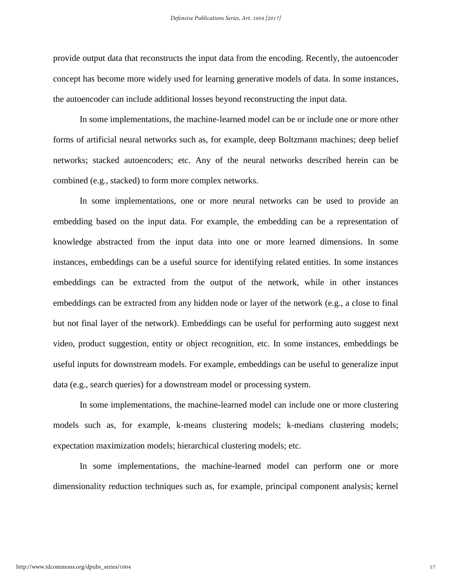provide output data that reconstructs the input data from the encoding. Recently, the autoencoder concept has become more widely used for learning generative models of data. In some instances, the autoencoder can include additional losses beyond reconstructing the input data.

In some implementations, the machine-learned model can be or include one or more other forms of artificial neural networks such as, for example, deep Boltzmann machines; deep belief networks; stacked autoencoders; etc. Any of the neural networks described herein can be combined (e.g., stacked) to form more complex networks.

In some implementations, one or more neural networks can be used to provide an embedding based on the input data. For example, the embedding can be a representation of knowledge abstracted from the input data into one or more learned dimensions. In some instances, embeddings can be a useful source for identifying related entities. In some instances embeddings can be extracted from the output of the network, while in other instances embeddings can be extracted from any hidden node or layer of the network (e.g., a close to final but not final layer of the network). Embeddings can be useful for performing auto suggest next video, product suggestion, entity or object recognition, etc. In some instances, embeddings be useful inputs for downstream models. For example, embeddings can be useful to generalize input data (e.g., search queries) for a downstream model or processing system.

In some implementations, the machine-learned model can include one or more clustering models such as, for example, k-means clustering models; k-medians clustering models; expectation maximization models; hierarchical clustering models; etc.

In some implementations, the machine-learned model can perform one or more dimensionality reduction techniques such as, for example, principal component analysis; kernel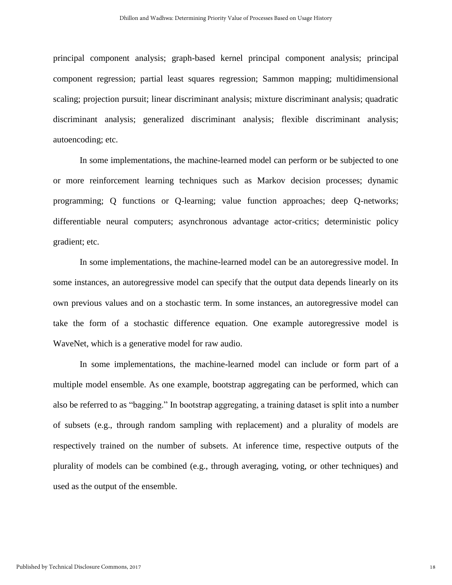principal component analysis; graph-based kernel principal component analysis; principal component regression; partial least squares regression; Sammon mapping; multidimensional scaling; projection pursuit; linear discriminant analysis; mixture discriminant analysis; quadratic discriminant analysis; generalized discriminant analysis; flexible discriminant analysis; autoencoding; etc.

In some implementations, the machine-learned model can perform or be subjected to one or more reinforcement learning techniques such as Markov decision processes; dynamic programming; Q functions or Q-learning; value function approaches; deep Q-networks; differentiable neural computers; asynchronous advantage actor-critics; deterministic policy gradient; etc.

In some implementations, the machine-learned model can be an autoregressive model. In some instances, an autoregressive model can specify that the output data depends linearly on its own previous values and on a stochastic term. In some instances, an autoregressive model can take the form of a stochastic difference equation. One example autoregressive model is WaveNet, which is a generative model for raw audio.

In some implementations, the machine-learned model can include or form part of a multiple model ensemble. As one example, bootstrap aggregating can be performed, which can also be referred to as "bagging." In bootstrap aggregating, a training dataset is split into a number of subsets (e.g., through random sampling with replacement) and a plurality of models are respectively trained on the number of subsets. At inference time, respective outputs of the plurality of models can be combined (e.g., through averaging, voting, or other techniques) and used as the output of the ensemble.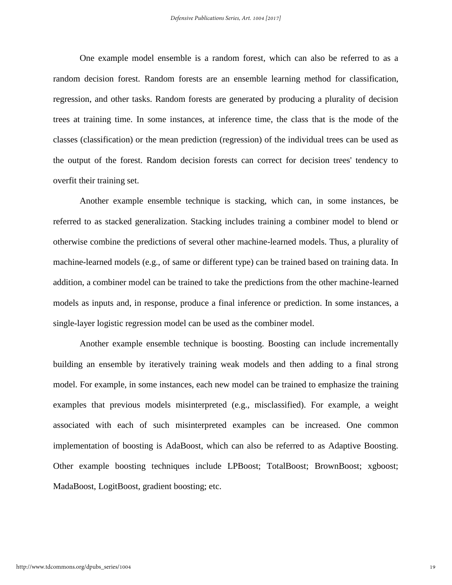One example model ensemble is a random forest, which can also be referred to as a random decision forest. Random forests are an ensemble learning method for classification, regression, and other tasks. Random forests are generated by producing a plurality of decision trees at training time. In some instances, at inference time, the class that is the mode of the classes (classification) or the mean prediction (regression) of the individual trees can be used as the output of the forest. Random decision forests can correct for decision trees' tendency to overfit their training set.

Another example ensemble technique is stacking, which can, in some instances, be referred to as stacked generalization. Stacking includes training a combiner model to blend or otherwise combine the predictions of several other machine-learned models. Thus, a plurality of machine-learned models (e.g., of same or different type) can be trained based on training data. In addition, a combiner model can be trained to take the predictions from the other machine-learned models as inputs and, in response, produce a final inference or prediction. In some instances, a single-layer logistic regression model can be used as the combiner model.

Another example ensemble technique is boosting. Boosting can include incrementally building an ensemble by iteratively training weak models and then adding to a final strong model. For example, in some instances, each new model can be trained to emphasize the training examples that previous models misinterpreted (e.g., misclassified). For example, a weight associated with each of such misinterpreted examples can be increased. One common implementation of boosting is AdaBoost, which can also be referred to as Adaptive Boosting. Other example boosting techniques include LPBoost; TotalBoost; BrownBoost; xgboost; MadaBoost, LogitBoost, gradient boosting; etc.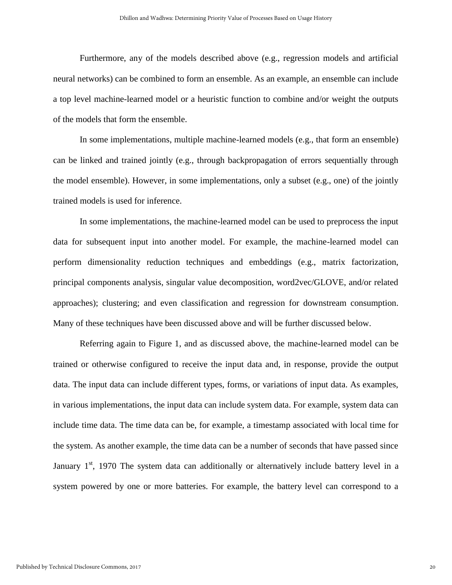Furthermore, any of the models described above (e.g., regression models and artificial neural networks) can be combined to form an ensemble. As an example, an ensemble can include a top level machine-learned model or a heuristic function to combine and/or weight the outputs of the models that form the ensemble.

In some implementations, multiple machine-learned models (e.g., that form an ensemble) can be linked and trained jointly (e.g., through backpropagation of errors sequentially through the model ensemble). However, in some implementations, only a subset (e.g., one) of the jointly trained models is used for inference.

In some implementations, the machine-learned model can be used to preprocess the input data for subsequent input into another model. For example, the machine-learned model can perform dimensionality reduction techniques and embeddings (e.g., matrix factorization, principal components analysis, singular value decomposition, word2vec/GLOVE, and/or related approaches); clustering; and even classification and regression for downstream consumption. Many of these techniques have been discussed above and will be further discussed below.

Referring again to Figure 1, and as discussed above, the machine-learned model can be trained or otherwise configured to receive the input data and, in response, provide the output data. The input data can include different types, forms, or variations of input data. As examples, in various implementations, the input data can include system data. For example, system data can include time data. The time data can be, for example, a timestamp associated with local time for the system. As another example, the time data can be a number of seconds that have passed since January  $1<sup>st</sup>$ , 1970 The system data can additionally or alternatively include battery level in a system powered by one or more batteries. For example, the battery level can correspond to a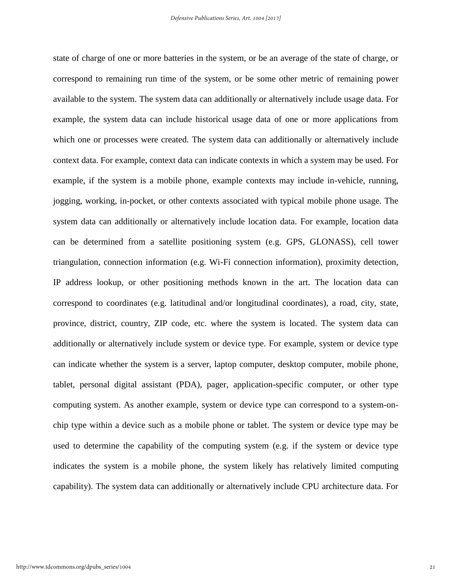state of charge of one or more batteries in the system, or be an average of the state of charge, or correspond to remaining run time of the system, or be some other metric of remaining power available to the system. The system data can additionally or alternatively include usage data. For example, the system data can include historical usage data of one or more applications from which one or processes were created. The system data can additionally or alternatively include context data. For example, context data can indicate contexts in which a system may be used. For example, if the system is a mobile phone, example contexts may include in-vehicle, running, jogging, working, in-pocket, or other contexts associated with typical mobile phone usage. The system data can additionally or alternatively include location data. For example, location data can be determined from a satellite positioning system (e.g. GPS, GLONASS), cell tower triangulation, connection information (e.g. Wi-Fi connection information), proximity detection, IP address lookup, or other positioning methods known in the art. The location data can correspond to coordinates (e.g. latitudinal and/or longitudinal coordinates), a road, city, state, province, district, country, ZIP code, etc. where the system is located. The system data can additionally or alternatively include system or device type. For example, system or device type can indicate whether the system is a server, laptop computer, desktop computer, mobile phone, tablet, personal digital assistant (PDA), pager, application-specific computer, or other type computing system. As another example, system or device type can correspond to a system-onchip type within a device such as a mobile phone or tablet. The system or device type may be used to determine the capability of the computing system (e.g. if the system or device type indicates the system is a mobile phone, the system likely has relatively limited computing capability). The system data can additionally or alternatively include CPU architecture data. For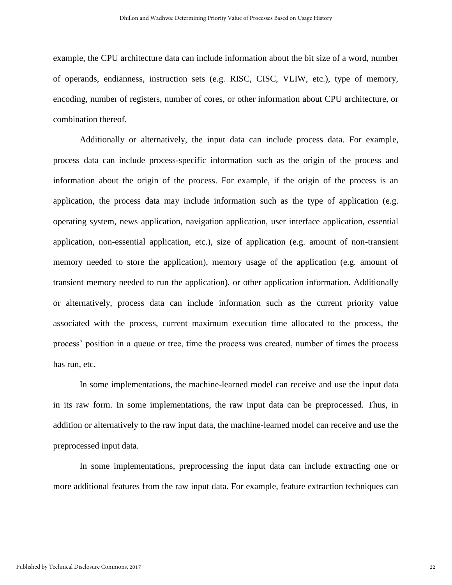example, the CPU architecture data can include information about the bit size of a word, number of operands, endianness, instruction sets (e.g. RISC, CISC, VLIW, etc.), type of memory, encoding, number of registers, number of cores, or other information about CPU architecture, or combination thereof.

Additionally or alternatively, the input data can include process data. For example, process data can include process-specific information such as the origin of the process and information about the origin of the process. For example, if the origin of the process is an application, the process data may include information such as the type of application (e.g. operating system, news application, navigation application, user interface application, essential application, non-essential application, etc.), size of application (e.g. amount of non-transient memory needed to store the application), memory usage of the application (e.g. amount of transient memory needed to run the application), or other application information. Additionally or alternatively, process data can include information such as the current priority value associated with the process, current maximum execution time allocated to the process, the process' position in a queue or tree, time the process was created, number of times the process has run, etc.

In some implementations, the machine-learned model can receive and use the input data in its raw form. In some implementations, the raw input data can be preprocessed. Thus, in addition or alternatively to the raw input data, the machine-learned model can receive and use the preprocessed input data.

In some implementations, preprocessing the input data can include extracting one or more additional features from the raw input data. For example, feature extraction techniques can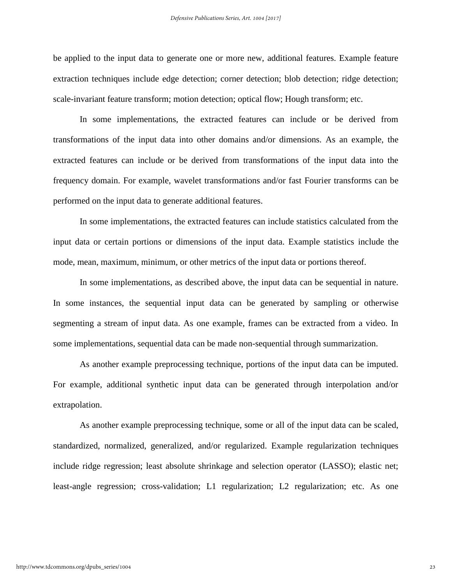be applied to the input data to generate one or more new, additional features. Example feature extraction techniques include edge detection; corner detection; blob detection; ridge detection; scale-invariant feature transform; motion detection; optical flow; Hough transform; etc.

In some implementations, the extracted features can include or be derived from transformations of the input data into other domains and/or dimensions. As an example, the extracted features can include or be derived from transformations of the input data into the frequency domain. For example, wavelet transformations and/or fast Fourier transforms can be performed on the input data to generate additional features.

In some implementations, the extracted features can include statistics calculated from the input data or certain portions or dimensions of the input data. Example statistics include the mode, mean, maximum, minimum, or other metrics of the input data or portions thereof.

In some implementations, as described above, the input data can be sequential in nature. In some instances, the sequential input data can be generated by sampling or otherwise segmenting a stream of input data. As one example, frames can be extracted from a video. In some implementations, sequential data can be made non-sequential through summarization.

As another example preprocessing technique, portions of the input data can be imputed. For example, additional synthetic input data can be generated through interpolation and/or extrapolation.

As another example preprocessing technique, some or all of the input data can be scaled, standardized, normalized, generalized, and/or regularized. Example regularization techniques include ridge regression; least absolute shrinkage and selection operator (LASSO); elastic net; least-angle regression; cross-validation; L1 regularization; L2 regularization; etc. As one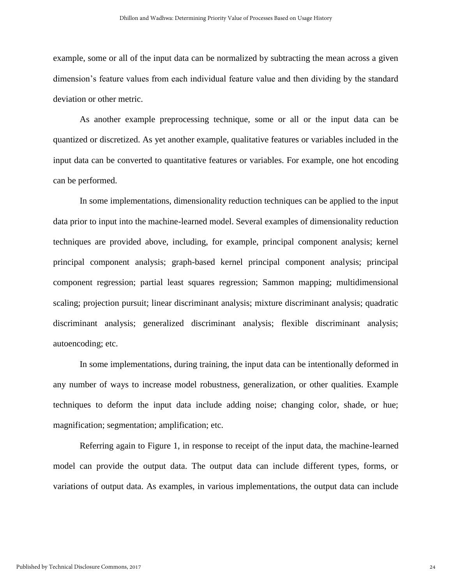example, some or all of the input data can be normalized by subtracting the mean across a given dimension's feature values from each individual feature value and then dividing by the standard deviation or other metric.

As another example preprocessing technique, some or all or the input data can be quantized or discretized. As yet another example, qualitative features or variables included in the input data can be converted to quantitative features or variables. For example, one hot encoding can be performed.

In some implementations, dimensionality reduction techniques can be applied to the input data prior to input into the machine-learned model. Several examples of dimensionality reduction techniques are provided above, including, for example, principal component analysis; kernel principal component analysis; graph-based kernel principal component analysis; principal component regression; partial least squares regression; Sammon mapping; multidimensional scaling; projection pursuit; linear discriminant analysis; mixture discriminant analysis; quadratic discriminant analysis; generalized discriminant analysis; flexible discriminant analysis; autoencoding; etc.

In some implementations, during training, the input data can be intentionally deformed in any number of ways to increase model robustness, generalization, or other qualities. Example techniques to deform the input data include adding noise; changing color, shade, or hue; magnification; segmentation; amplification; etc.

Referring again to Figure 1, in response to receipt of the input data, the machine-learned model can provide the output data. The output data can include different types, forms, or variations of output data. As examples, in various implementations, the output data can include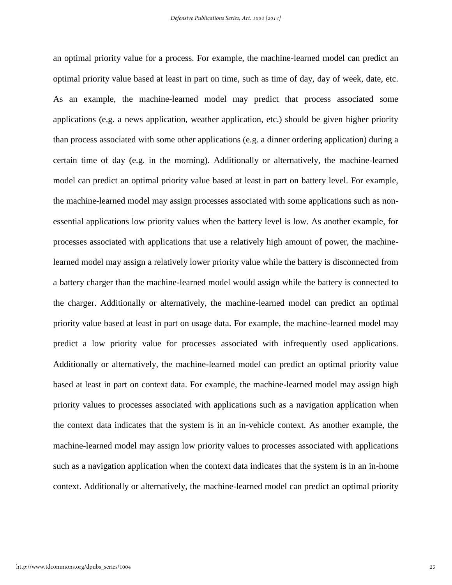an optimal priority value for a process. For example, the machine-learned model can predict an optimal priority value based at least in part on time, such as time of day, day of week, date, etc. As an example, the machine-learned model may predict that process associated some applications (e.g. a news application, weather application, etc.) should be given higher priority than process associated with some other applications (e.g. a dinner ordering application) during a certain time of day (e.g. in the morning). Additionally or alternatively, the machine-learned model can predict an optimal priority value based at least in part on battery level. For example, the machine-learned model may assign processes associated with some applications such as nonessential applications low priority values when the battery level is low. As another example, for processes associated with applications that use a relatively high amount of power, the machinelearned model may assign a relatively lower priority value while the battery is disconnected from a battery charger than the machine-learned model would assign while the battery is connected to the charger. Additionally or alternatively, the machine-learned model can predict an optimal priority value based at least in part on usage data. For example, the machine-learned model may predict a low priority value for processes associated with infrequently used applications. Additionally or alternatively, the machine-learned model can predict an optimal priority value based at least in part on context data. For example, the machine-learned model may assign high priority values to processes associated with applications such as a navigation application when the context data indicates that the system is in an in-vehicle context. As another example, the machine-learned model may assign low priority values to processes associated with applications such as a navigation application when the context data indicates that the system is in an in-home context. Additionally or alternatively, the machine-learned model can predict an optimal priority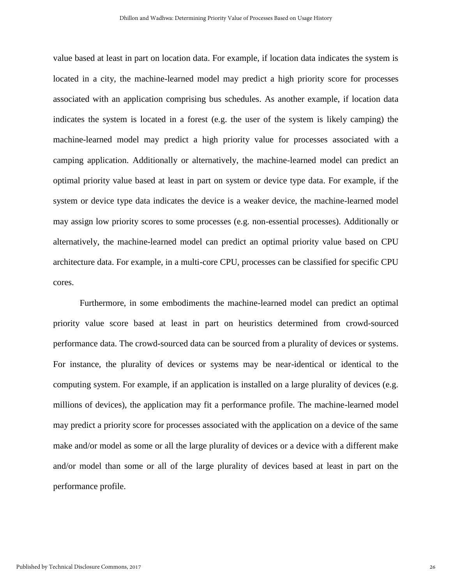value based at least in part on location data. For example, if location data indicates the system is located in a city, the machine-learned model may predict a high priority score for processes associated with an application comprising bus schedules. As another example, if location data indicates the system is located in a forest (e.g. the user of the system is likely camping) the machine-learned model may predict a high priority value for processes associated with a camping application. Additionally or alternatively, the machine-learned model can predict an optimal priority value based at least in part on system or device type data. For example, if the system or device type data indicates the device is a weaker device, the machine-learned model may assign low priority scores to some processes (e.g. non-essential processes). Additionally or alternatively, the machine-learned model can predict an optimal priority value based on CPU architecture data. For example, in a multi-core CPU, processes can be classified for specific CPU cores.

Furthermore, in some embodiments the machine-learned model can predict an optimal priority value score based at least in part on heuristics determined from crowd-sourced performance data. The crowd-sourced data can be sourced from a plurality of devices or systems. For instance, the plurality of devices or systems may be near-identical or identical to the computing system. For example, if an application is installed on a large plurality of devices (e.g. millions of devices), the application may fit a performance profile. The machine-learned model may predict a priority score for processes associated with the application on a device of the same make and/or model as some or all the large plurality of devices or a device with a different make and/or model than some or all of the large plurality of devices based at least in part on the performance profile.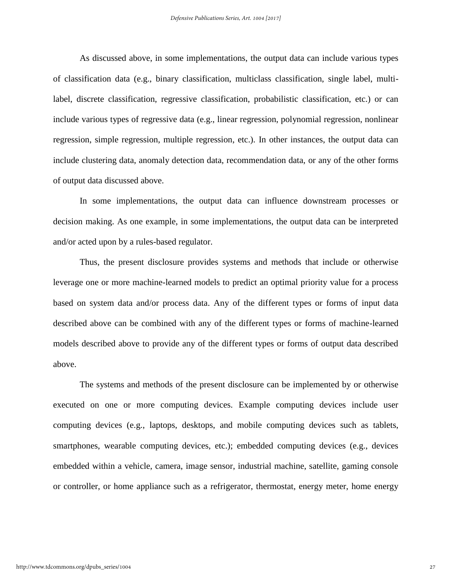As discussed above, in some implementations, the output data can include various types of classification data (e.g., binary classification, multiclass classification, single label, multilabel, discrete classification, regressive classification, probabilistic classification, etc.) or can include various types of regressive data (e.g., linear regression, polynomial regression, nonlinear regression, simple regression, multiple regression, etc.). In other instances, the output data can include clustering data, anomaly detection data, recommendation data, or any of the other forms of output data discussed above.

In some implementations, the output data can influence downstream processes or decision making. As one example, in some implementations, the output data can be interpreted and/or acted upon by a rules-based regulator.

Thus, the present disclosure provides systems and methods that include or otherwise leverage one or more machine-learned models to predict an optimal priority value for a process based on system data and/or process data. Any of the different types or forms of input data described above can be combined with any of the different types or forms of machine-learned models described above to provide any of the different types or forms of output data described above.

The systems and methods of the present disclosure can be implemented by or otherwise executed on one or more computing devices. Example computing devices include user computing devices (e.g., laptops, desktops, and mobile computing devices such as tablets, smartphones, wearable computing devices, etc.); embedded computing devices (e.g., devices embedded within a vehicle, camera, image sensor, industrial machine, satellite, gaming console or controller, or home appliance such as a refrigerator, thermostat, energy meter, home energy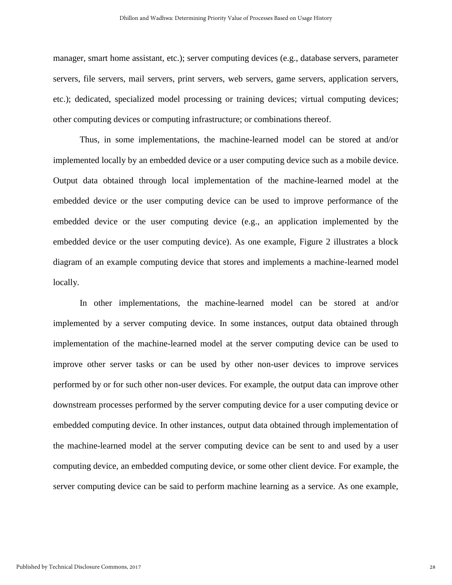manager, smart home assistant, etc.); server computing devices (e.g., database servers, parameter servers, file servers, mail servers, print servers, web servers, game servers, application servers, etc.); dedicated, specialized model processing or training devices; virtual computing devices; other computing devices or computing infrastructure; or combinations thereof.

Thus, in some implementations, the machine-learned model can be stored at and/or implemented locally by an embedded device or a user computing device such as a mobile device. Output data obtained through local implementation of the machine-learned model at the embedded device or the user computing device can be used to improve performance of the embedded device or the user computing device (e.g., an application implemented by the embedded device or the user computing device). As one example, Figure 2 illustrates a block diagram of an example computing device that stores and implements a machine-learned model locally.

In other implementations, the machine-learned model can be stored at and/or implemented by a server computing device. In some instances, output data obtained through implementation of the machine-learned model at the server computing device can be used to improve other server tasks or can be used by other non-user devices to improve services performed by or for such other non-user devices. For example, the output data can improve other downstream processes performed by the server computing device for a user computing device or embedded computing device. In other instances, output data obtained through implementation of the machine-learned model at the server computing device can be sent to and used by a user computing device, an embedded computing device, or some other client device. For example, the server computing device can be said to perform machine learning as a service. As one example,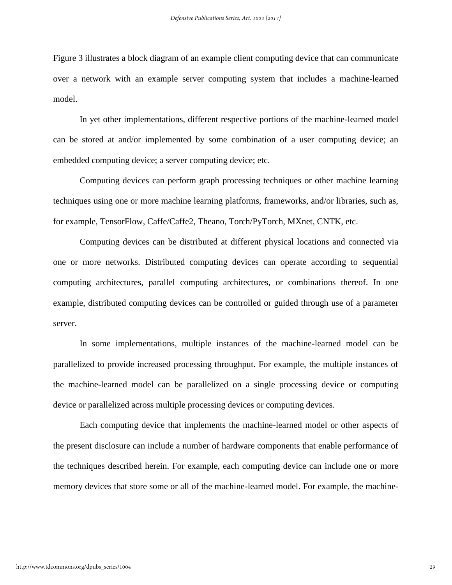Figure 3 illustrates a block diagram of an example client computing device that can communicate over a network with an example server computing system that includes a machine-learned model.

In yet other implementations, different respective portions of the machine-learned model can be stored at and/or implemented by some combination of a user computing device; an embedded computing device; a server computing device; etc.

Computing devices can perform graph processing techniques or other machine learning techniques using one or more machine learning platforms, frameworks, and/or libraries, such as, for example, TensorFlow, Caffe/Caffe2, Theano, Torch/PyTorch, MXnet, CNTK, etc.

Computing devices can be distributed at different physical locations and connected via one or more networks. Distributed computing devices can operate according to sequential computing architectures, parallel computing architectures, or combinations thereof. In one example, distributed computing devices can be controlled or guided through use of a parameter server.

In some implementations, multiple instances of the machine-learned model can be parallelized to provide increased processing throughput. For example, the multiple instances of the machine-learned model can be parallelized on a single processing device or computing device or parallelized across multiple processing devices or computing devices.

Each computing device that implements the machine-learned model or other aspects of the present disclosure can include a number of hardware components that enable performance of the techniques described herein. For example, each computing device can include one or more memory devices that store some or all of the machine-learned model. For example, the machine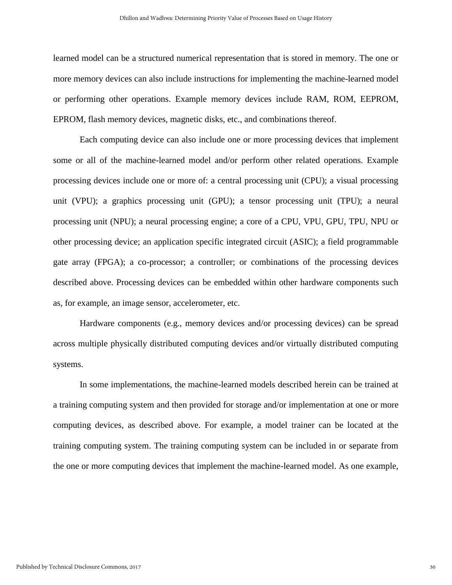learned model can be a structured numerical representation that is stored in memory. The one or more memory devices can also include instructions for implementing the machine-learned model or performing other operations. Example memory devices include RAM, ROM, EEPROM, EPROM, flash memory devices, magnetic disks, etc., and combinations thereof.

Each computing device can also include one or more processing devices that implement some or all of the machine-learned model and/or perform other related operations. Example processing devices include one or more of: a central processing unit (CPU); a visual processing unit (VPU); a graphics processing unit (GPU); a tensor processing unit (TPU); a neural processing unit (NPU); a neural processing engine; a core of a CPU, VPU, GPU, TPU, NPU or other processing device; an application specific integrated circuit (ASIC); a field programmable gate array (FPGA); a co-processor; a controller; or combinations of the processing devices described above. Processing devices can be embedded within other hardware components such as, for example, an image sensor, accelerometer, etc.

Hardware components (e.g., memory devices and/or processing devices) can be spread across multiple physically distributed computing devices and/or virtually distributed computing systems.

In some implementations, the machine-learned models described herein can be trained at a training computing system and then provided for storage and/or implementation at one or more computing devices, as described above. For example, a model trainer can be located at the training computing system. The training computing system can be included in or separate from the one or more computing devices that implement the machine-learned model. As one example,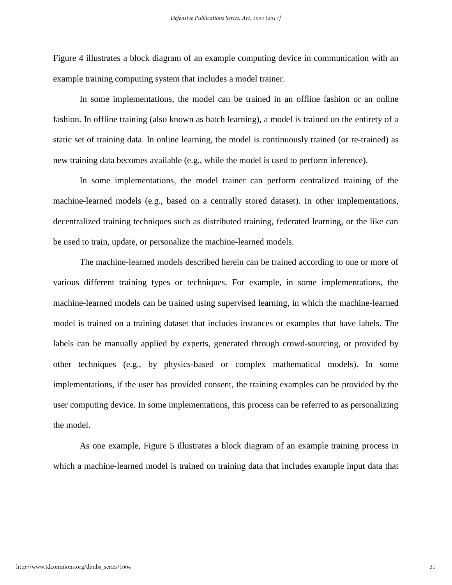Figure 4 illustrates a block diagram of an example computing device in communication with an example training computing system that includes a model trainer.

In some implementations, the model can be trained in an offline fashion or an online fashion. In offline training (also known as batch learning), a model is trained on the entirety of a static set of training data. In online learning, the model is continuously trained (or re-trained) as new training data becomes available (e.g., while the model is used to perform inference).

In some implementations, the model trainer can perform centralized training of the machine-learned models (e.g., based on a centrally stored dataset). In other implementations, decentralized training techniques such as distributed training, federated learning, or the like can be used to train, update, or personalize the machine-learned models.

The machine-learned models described herein can be trained according to one or more of various different training types or techniques. For example, in some implementations, the machine-learned models can be trained using supervised learning, in which the machine-learned model is trained on a training dataset that includes instances or examples that have labels. The labels can be manually applied by experts, generated through crowd-sourcing, or provided by other techniques (e.g., by physics-based or complex mathematical models). In some implementations, if the user has provided consent, the training examples can be provided by the user computing device. In some implementations, this process can be referred to as personalizing the model.

As one example, Figure 5 illustrates a block diagram of an example training process in which a machine-learned model is trained on training data that includes example input data that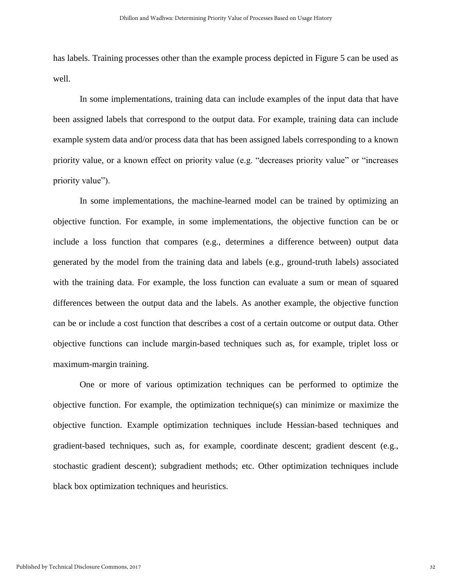has labels. Training processes other than the example process depicted in Figure 5 can be used as well.

In some implementations, training data can include examples of the input data that have been assigned labels that correspond to the output data. For example, training data can include example system data and/or process data that has been assigned labels corresponding to a known priority value, or a known effect on priority value (e.g. "decreases priority value" or "increases priority value").

In some implementations, the machine-learned model can be trained by optimizing an objective function. For example, in some implementations, the objective function can be or include a loss function that compares (e.g., determines a difference between) output data generated by the model from the training data and labels (e.g., ground-truth labels) associated with the training data. For example, the loss function can evaluate a sum or mean of squared differences between the output data and the labels. As another example, the objective function can be or include a cost function that describes a cost of a certain outcome or output data. Other objective functions can include margin-based techniques such as, for example, triplet loss or maximum-margin training.

One or more of various optimization techniques can be performed to optimize the objective function. For example, the optimization technique(s) can minimize or maximize the objective function. Example optimization techniques include Hessian-based techniques and gradient-based techniques, such as, for example, coordinate descent; gradient descent (e.g., stochastic gradient descent); subgradient methods; etc. Other optimization techniques include black box optimization techniques and heuristics.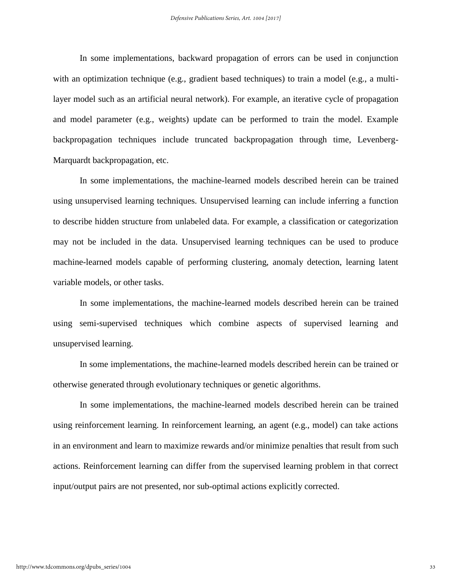In some implementations, backward propagation of errors can be used in conjunction with an optimization technique (e.g., gradient based techniques) to train a model (e.g., a multilayer model such as an artificial neural network). For example, an iterative cycle of propagation and model parameter (e.g., weights) update can be performed to train the model. Example backpropagation techniques include truncated backpropagation through time, Levenberg-Marquardt backpropagation, etc.

In some implementations, the machine-learned models described herein can be trained using unsupervised learning techniques. Unsupervised learning can include inferring a function to describe hidden structure from unlabeled data. For example, a classification or categorization may not be included in the data. Unsupervised learning techniques can be used to produce machine-learned models capable of performing clustering, anomaly detection, learning latent variable models, or other tasks.

In some implementations, the machine-learned models described herein can be trained using semi-supervised techniques which combine aspects of supervised learning and unsupervised learning.

In some implementations, the machine-learned models described herein can be trained or otherwise generated through evolutionary techniques or genetic algorithms.

In some implementations, the machine-learned models described herein can be trained using reinforcement learning. In reinforcement learning, an agent (e.g., model) can take actions in an environment and learn to maximize rewards and/or minimize penalties that result from such actions. Reinforcement learning can differ from the supervised learning problem in that correct input/output pairs are not presented, nor sub-optimal actions explicitly corrected.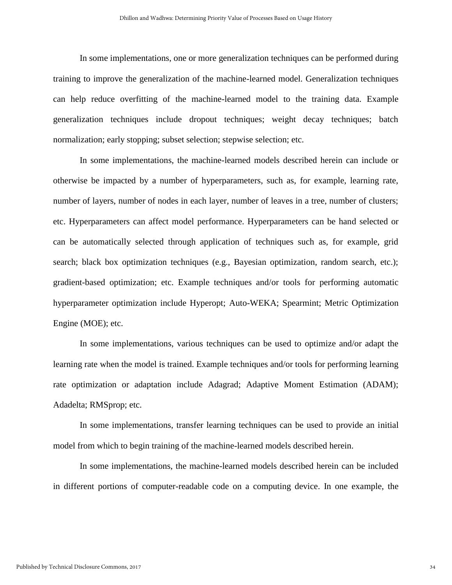In some implementations, one or more generalization techniques can be performed during training to improve the generalization of the machine-learned model. Generalization techniques can help reduce overfitting of the machine-learned model to the training data. Example generalization techniques include dropout techniques; weight decay techniques; batch normalization; early stopping; subset selection; stepwise selection; etc.

In some implementations, the machine-learned models described herein can include or otherwise be impacted by a number of hyperparameters, such as, for example, learning rate, number of layers, number of nodes in each layer, number of leaves in a tree, number of clusters; etc. Hyperparameters can affect model performance. Hyperparameters can be hand selected or can be automatically selected through application of techniques such as, for example, grid search; black box optimization techniques (e.g., Bayesian optimization, random search, etc.); gradient-based optimization; etc. Example techniques and/or tools for performing automatic hyperparameter optimization include Hyperopt; Auto-WEKA; Spearmint; Metric Optimization Engine (MOE); etc.

In some implementations, various techniques can be used to optimize and/or adapt the learning rate when the model is trained. Example techniques and/or tools for performing learning rate optimization or adaptation include Adagrad; Adaptive Moment Estimation (ADAM); Adadelta; RMSprop; etc.

In some implementations, transfer learning techniques can be used to provide an initial model from which to begin training of the machine-learned models described herein.

In some implementations, the machine-learned models described herein can be included in different portions of computer-readable code on a computing device. In one example, the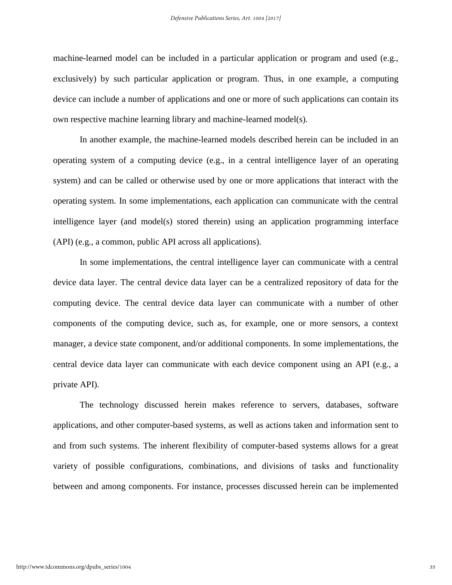machine-learned model can be included in a particular application or program and used (e.g., exclusively) by such particular application or program. Thus, in one example, a computing device can include a number of applications and one or more of such applications can contain its own respective machine learning library and machine-learned model(s).

In another example, the machine-learned models described herein can be included in an operating system of a computing device (e.g., in a central intelligence layer of an operating system) and can be called or otherwise used by one or more applications that interact with the operating system. In some implementations, each application can communicate with the central intelligence layer (and model(s) stored therein) using an application programming interface (API) (e.g., a common, public API across all applications).

In some implementations, the central intelligence layer can communicate with a central device data layer. The central device data layer can be a centralized repository of data for the computing device. The central device data layer can communicate with a number of other components of the computing device, such as, for example, one or more sensors, a context manager, a device state component, and/or additional components. In some implementations, the central device data layer can communicate with each device component using an API (e.g., a private API).

The technology discussed herein makes reference to servers, databases, software applications, and other computer-based systems, as well as actions taken and information sent to and from such systems. The inherent flexibility of computer-based systems allows for a great variety of possible configurations, combinations, and divisions of tasks and functionality between and among components. For instance, processes discussed herein can be implemented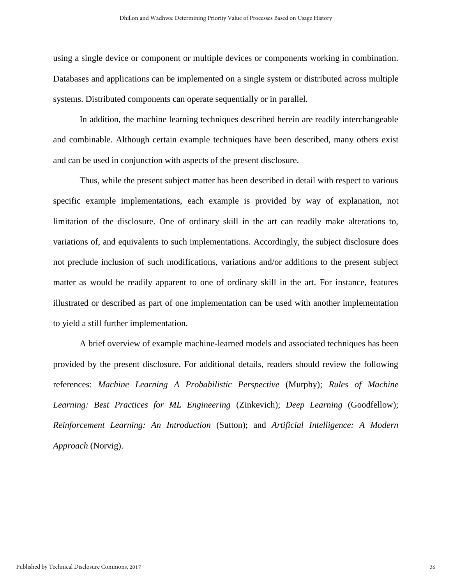using a single device or component or multiple devices or components working in combination. Databases and applications can be implemented on a single system or distributed across multiple systems. Distributed components can operate sequentially or in parallel.

In addition, the machine learning techniques described herein are readily interchangeable and combinable. Although certain example techniques have been described, many others exist and can be used in conjunction with aspects of the present disclosure.

Thus, while the present subject matter has been described in detail with respect to various specific example implementations, each example is provided by way of explanation, not limitation of the disclosure. One of ordinary skill in the art can readily make alterations to, variations of, and equivalents to such implementations. Accordingly, the subject disclosure does not preclude inclusion of such modifications, variations and/or additions to the present subject matter as would be readily apparent to one of ordinary skill in the art. For instance, features illustrated or described as part of one implementation can be used with another implementation to yield a still further implementation.

A brief overview of example machine-learned models and associated techniques has been provided by the present disclosure. For additional details, readers should review the following references: *Machine Learning A Probabilistic Perspective* (Murphy); *Rules of Machine Learning: Best Practices for ML Engineering* (Zinkevich); *Deep Learning* (Goodfellow); *Reinforcement Learning: An Introduction* (Sutton); and *Artificial Intelligence: A Modern Approach* (Norvig).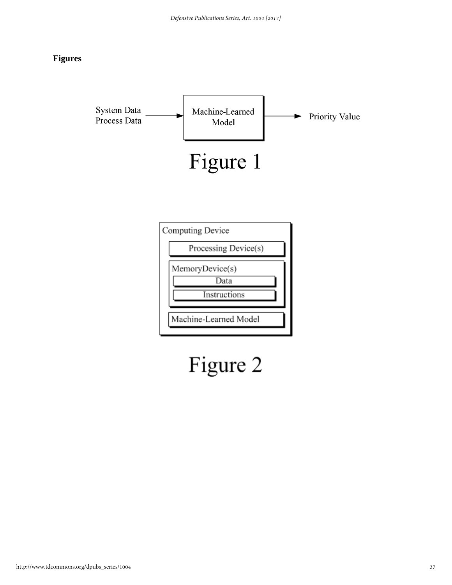#### **Figures**



# Figure 2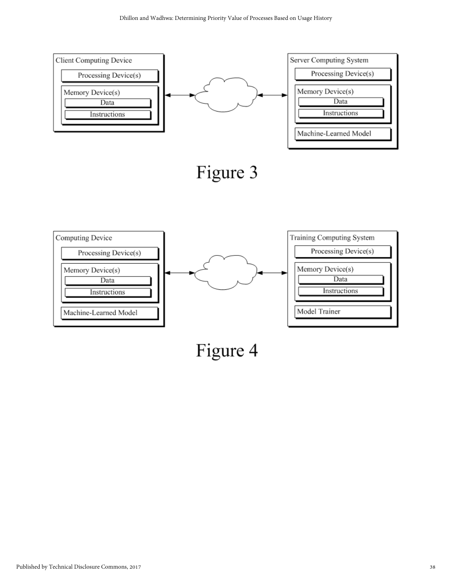



Figure 4